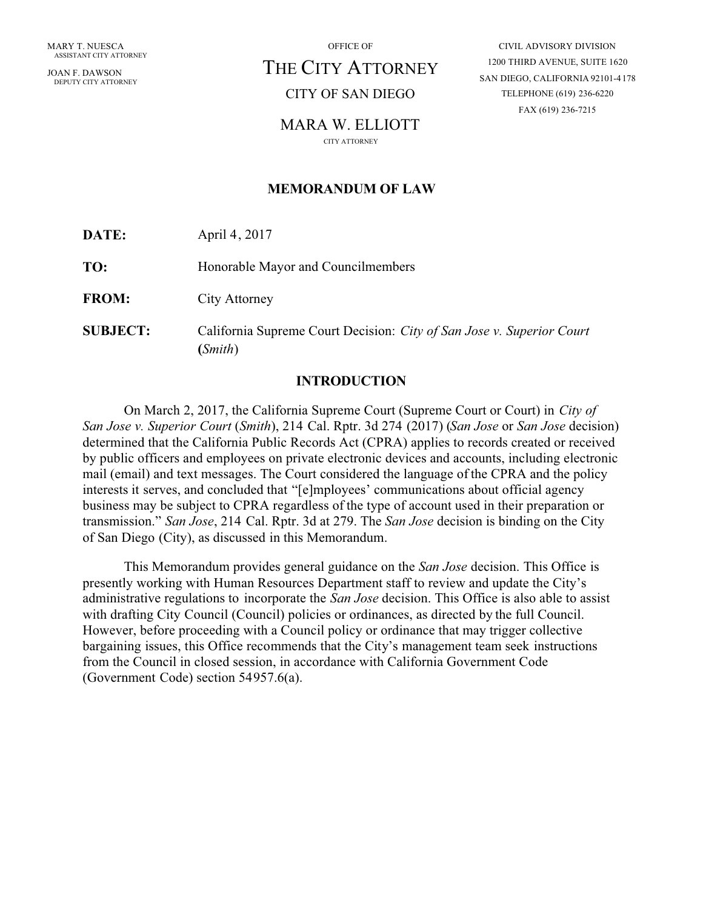JOAN F. DAWSON DEPUTY CITY ATTORNEY OFFICE OF

# THE CITY ATTORNEY

## CITY OF SAN DIEGO

## MARA W. ELLIOTT

CITY ATTORNEY

## **MEMORANDUM OF LAW**

**DATE:** April 4, 2017

**TO:** Honorable Mayor and Councilmembers

**FROM:** City Attorney

**SUBJECT:** California Supreme Court Decision: *City of San Jose v. Superior Court* **(***Smith*)

## **INTRODUCTION**

On March 2, 2017, the California Supreme Court (Supreme Court or Court) in *City of San Jose v. Superior Court* (*Smith*), 214 Cal. Rptr. 3d 274 (2017) (*San Jose* or *San Jose* decision) determined that the California Public Records Act (CPRA) applies to records created or received by public officers and employees on private electronic devices and accounts, including electronic mail (email) and text messages. The Court considered the language of the CPRA and the policy interests it serves, and concluded that "[e]mployees' communications about official agency business may be subject to CPRA regardless of the type of account used in their preparation or transmission." *San Jose*, 214 Cal. Rptr. 3d at 279. The *San Jose* decision is binding on the City of San Diego (City), as discussed in this Memorandum.

This Memorandum provides general guidance on the *San Jose* decision. This Office is presently working with Human Resources Department staff to review and update the City's administrative regulations to incorporate the *San Jose* decision. This Office is also able to assist with drafting City Council (Council) policies or ordinances, as directed by the full Council. However, before proceeding with a Council policy or ordinance that may trigger collective bargaining issues, this Office recommends that the City's management team seek instructions from the Council in closed session, in accordance with California Government Code (Government Code) section 54957.6(a).

CIVIL ADVISORY DIVISION 1200 THIRD AVENUE, SUITE 1620 SAN DIEGO, CALIFORNIA 92101-4178 TELEPHONE (619) 236-6220 FAX (619) 236-7215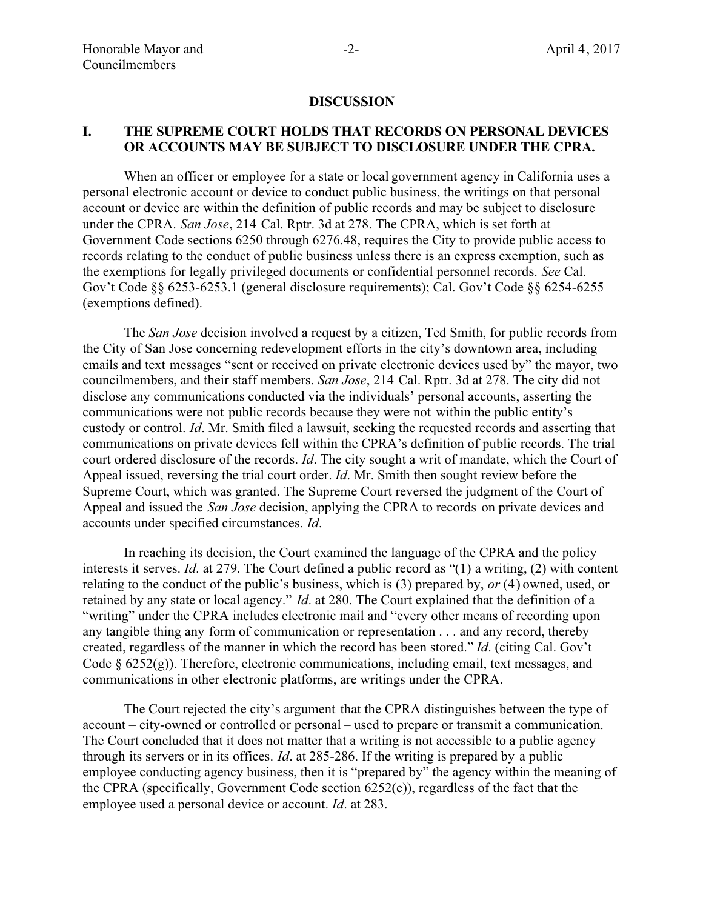#### **DISCUSSION**

#### **I. THE SUPREME COURT HOLDS THAT RECORDS ON PERSONAL DEVICES OR ACCOUNTS MAY BE SUBJECT TO DISCLOSURE UNDER THE CPRA.**

When an officer or employee for a state or local government agency in California uses a personal electronic account or device to conduct public business, the writings on that personal account or device are within the definition of public records and may be subject to disclosure under the CPRA. *San Jose*, 214 Cal. Rptr. 3d at 278. The CPRA, which is set forth at Government Code sections 6250 through 6276.48, requires the City to provide public access to records relating to the conduct of public business unless there is an express exemption, such as the exemptions for legally privileged documents or confidential personnel records. *See* Cal. Gov't Code §§ 6253-6253.1 (general disclosure requirements); Cal. Gov't Code §§ 6254-6255 (exemptions defined).

The *San Jose* decision involved a request by a citizen, Ted Smith, for public records from the City of San Jose concerning redevelopment efforts in the city's downtown area, including emails and text messages "sent or received on private electronic devices used by" the mayor, two councilmembers, and their staff members. *San Jose*, 214 Cal. Rptr. 3d at 278. The city did not disclose any communications conducted via the individuals' personal accounts, asserting the communications were not public records because they were not within the public entity's custody or control. *Id*. Mr. Smith filed a lawsuit, seeking the requested records and asserting that communications on private devices fell within the CPRA's definition of public records. The trial court ordered disclosure of the records. *Id*. The city sought a writ of mandate, which the Court of Appeal issued, reversing the trial court order. *Id*. Mr. Smith then sought review before the Supreme Court, which was granted. The Supreme Court reversed the judgment of the Court of Appeal and issued the *San Jose* decision, applying the CPRA to records on private devices and accounts under specified circumstances. *Id*.

In reaching its decision, the Court examined the language of the CPRA and the policy interests it serves. *Id*. at 279. The Court defined a public record as "(1) a writing, (2) with content relating to the conduct of the public's business, which is (3) prepared by, *or* (4) owned, used, or retained by any state or local agency." *Id*. at 280. The Court explained that the definition of a "writing" under the CPRA includes electronic mail and "every other means of recording upon any tangible thing any form of communication or representation . . . and any record, thereby created, regardless of the manner in which the record has been stored." *Id*. (citing Cal. Gov't Code  $\S$  6252(g)). Therefore, electronic communications, including email, text messages, and communications in other electronic platforms, are writings under the CPRA.

The Court rejected the city's argument that the CPRA distinguishes between the type of account – city-owned or controlled or personal – used to prepare or transmit a communication. The Court concluded that it does not matter that a writing is not accessible to a public agency through its servers or in its offices. *Id*. at 285-286. If the writing is prepared by a public employee conducting agency business, then it is "prepared by" the agency within the meaning of the CPRA (specifically, Government Code section 6252(e)), regardless of the fact that the employee used a personal device or account. *Id*. at 283.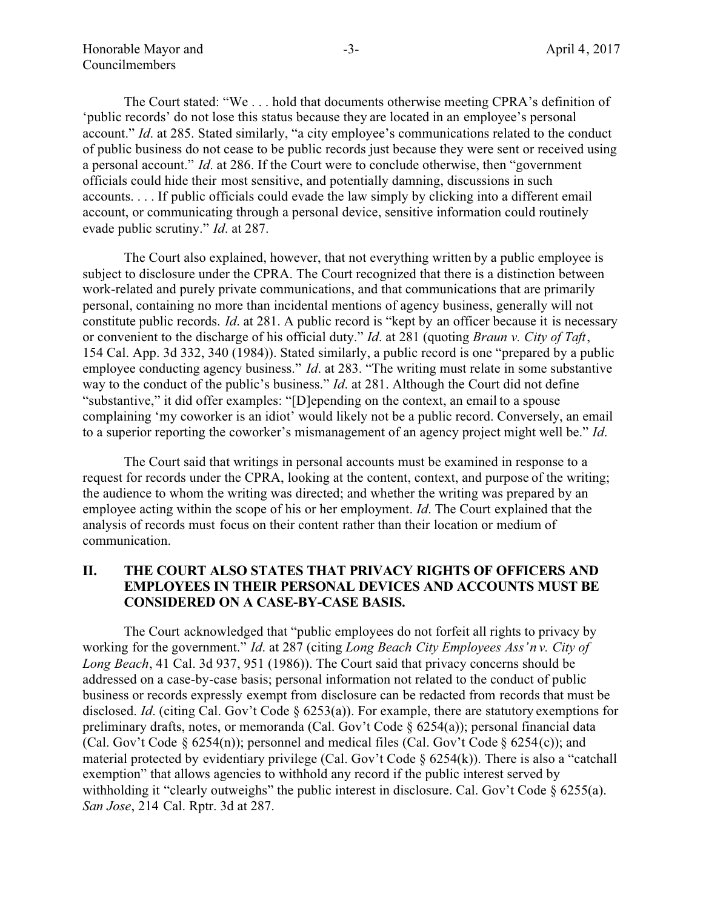The Court stated: "We . . . hold that documents otherwise meeting CPRA's definition of 'public records' do not lose this status because they are located in an employee's personal account." *Id*. at 285. Stated similarly, "a city employee's communications related to the conduct of public business do not cease to be public records just because they were sent or received using a personal account." *Id*. at 286. If the Court were to conclude otherwise, then "government officials could hide their most sensitive, and potentially damning, discussions in such accounts. . . . If public officials could evade the law simply by clicking into a different email account, or communicating through a personal device, sensitive information could routinely evade public scrutiny." *Id*. at 287.

The Court also explained, however, that not everything written by a public employee is subject to disclosure under the CPRA. The Court recognized that there is a distinction between work-related and purely private communications, and that communications that are primarily personal, containing no more than incidental mentions of agency business, generally will not constitute public records. *Id*. at 281. A public record is "kept by an officer because it is necessary or convenient to the discharge of his official duty." *Id*. at 281 (quoting *Braun v. City of Taft*, 154 Cal. App. 3d 332, 340 (1984)). Stated similarly, a public record is one "prepared by a public employee conducting agency business." *Id*. at 283. "The writing must relate in some substantive way to the conduct of the public's business." *Id*. at 281. Although the Court did not define "substantive," it did offer examples: "[D]epending on the context, an email to a spouse complaining 'my coworker is an idiot' would likely not be a public record. Conversely, an email to a superior reporting the coworker's mismanagement of an agency project might well be." *Id*.

The Court said that writings in personal accounts must be examined in response to a request for records under the CPRA, looking at the content, context, and purpose of the writing; the audience to whom the writing was directed; and whether the writing was prepared by an employee acting within the scope of his or her employment. *Id*. The Court explained that the analysis of records must focus on their content rather than their location or medium of communication.

## **II. THE COURT ALSO STATES THAT PRIVACY RIGHTS OF OFFICERS AND EMPLOYEES IN THEIR PERSONAL DEVICES AND ACCOUNTS MUST BE CONSIDERED ON A CASE-BY-CASE BASIS.**

The Court acknowledged that "public employees do not forfeit all rights to privacy by working for the government." *Id*. at 287 (citing *Long Beach City Employees Ass'n v. City of Long Beach*, 41 Cal. 3d 937, 951 (1986)). The Court said that privacy concerns should be addressed on a case-by-case basis; personal information not related to the conduct of public business or records expressly exempt from disclosure can be redacted from records that must be disclosed. *Id*. (citing Cal. Gov't Code § 6253(a)). For example, there are statutory exemptions for preliminary drafts, notes, or memoranda (Cal. Gov't Code § 6254(a)); personal financial data (Cal. Gov't Code § 6254(n)); personnel and medical files (Cal. Gov't Code § 6254(c)); and material protected by evidentiary privilege (Cal. Gov't Code § 6254(k)). There is also a "catchall exemption" that allows agencies to withhold any record if the public interest served by withholding it "clearly outweighs" the public interest in disclosure. Cal. Gov't Code § 6255(a). *San Jose*, 214 Cal. Rptr. 3d at 287.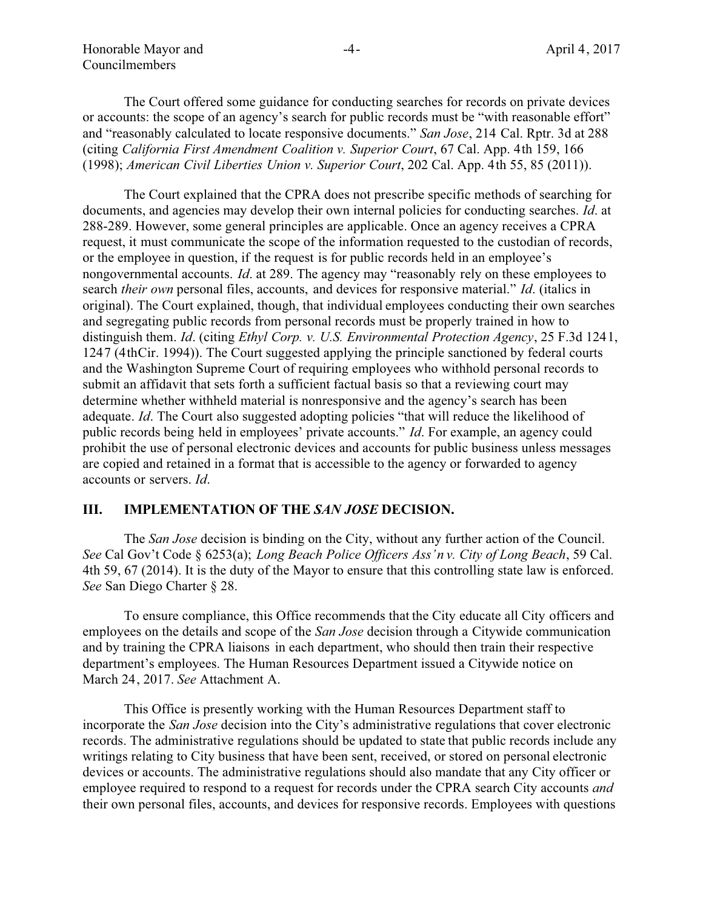Honorable Mayor and Councilmembers

The Court offered some guidance for conducting searches for records on private devices or accounts: the scope of an agency's search for public records must be "with reasonable effort" and "reasonably calculated to locate responsive documents." *San Jose*, 214 Cal. Rptr. 3d at 288 (citing *California First Amendment Coalition v. Superior Court*, 67 Cal. App. 4th 159, 166 (1998); *American Civil Liberties Union v. Superior Court*, 202 Cal. App. 4th 55, 85 (2011)).

The Court explained that the CPRA does not prescribe specific methods of searching for documents, and agencies may develop their own internal policies for conducting searches. *Id*. at 288-289. However, some general principles are applicable. Once an agency receives a CPRA request, it must communicate the scope of the information requested to the custodian of records, or the employee in question, if the request is for public records held in an employee's nongovernmental accounts. *Id*. at 289. The agency may "reasonably rely on these employees to search *their own* personal files, accounts, and devices for responsive material." *Id*. (italics in original). The Court explained, though, that individual employees conducting their own searches and segregating public records from personal records must be properly trained in how to distinguish them. *Id*. (citing *Ethyl Corp. v. U.S. Environmental Protection Agency*, 25 F.3d 1241, 1247 (4th Cir. 1994)). The Court suggested applying the principle sanctioned by federal courts and the Washington Supreme Court of requiring employees who withhold personal records to submit an affidavit that sets forth a sufficient factual basis so that a reviewing court may determine whether withheld material is nonresponsive and the agency's search has been adequate. *Id*. The Court also suggested adopting policies "that will reduce the likelihood of public records being held in employees' private accounts." *Id*. For example, an agency could prohibit the use of personal electronic devices and accounts for public business unless messages are copied and retained in a format that is accessible to the agency or forwarded to agency accounts or servers. *Id*.

### **III. IMPLEMENTATION OF THE** *SAN JOSE* **DECISION.**

The *San Jose* decision is binding on the City, without any further action of the Council. *See* Cal Gov't Code § 6253(a); *Long Beach Police Officers Ass'n v. City of Long Beach*, 59 Cal. 4th 59, 67 (2014). It is the duty of the Mayor to ensure that this controlling state law is enforced. *See* San Diego Charter § 28.

To ensure compliance, this Office recommends that the City educate all City officers and employees on the details and scope of the *San Jose* decision through a Citywide communication and by training the CPRA liaisons in each department, who should then train their respective department's employees. The Human Resources Department issued a Citywide notice on March 24, 2017. *See* Attachment A.

This Office is presently working with the Human Resources Department staff to incorporate the *San Jose* decision into the City's administrative regulations that cover electronic records. The administrative regulations should be updated to state that public records include any writings relating to City business that have been sent, received, or stored on personal electronic devices or accounts. The administrative regulations should also mandate that any City officer or employee required to respond to a request for records under the CPRA search City accounts *and* their own personal files, accounts, and devices for responsive records. Employees with questions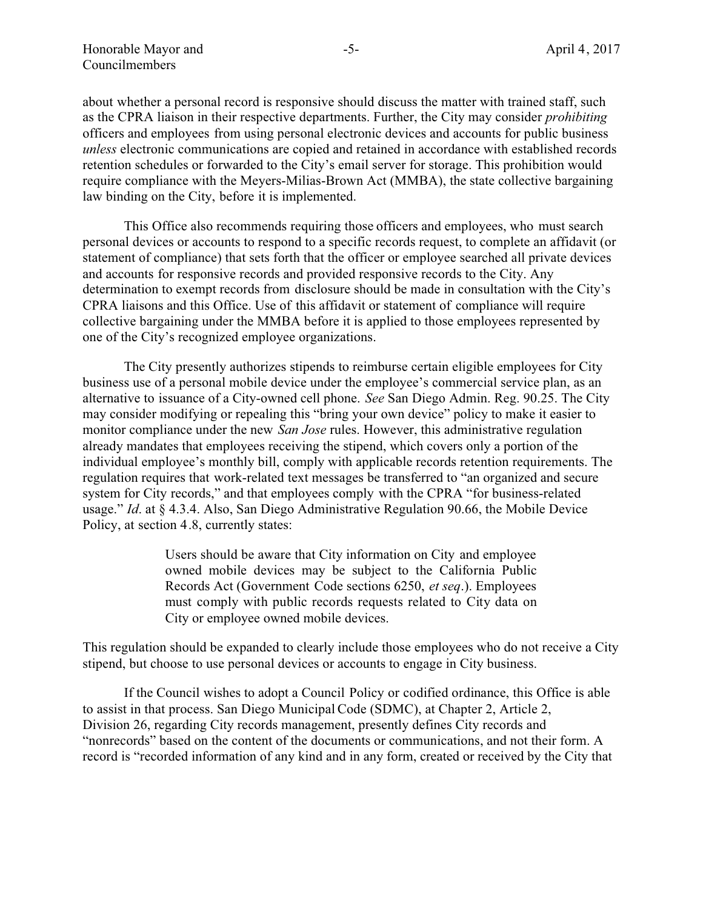about whether a personal record is responsive should discuss the matter with trained staff, such as the CPRA liaison in their respective departments. Further, the City may consider *prohibiting* officers and employees from using personal electronic devices and accounts for public business *unless* electronic communications are copied and retained in accordance with established records retention schedules or forwarded to the City's email server for storage. This prohibition would require compliance with the Meyers-Milias-Brown Act (MMBA), the state collective bargaining law binding on the City, before it is implemented.

This Office also recommends requiring those officers and employees, who must search personal devices or accounts to respond to a specific records request, to complete an affidavit (or statement of compliance) that sets forth that the officer or employee searched all private devices and accounts for responsive records and provided responsive records to the City. Any determination to exempt records from disclosure should be made in consultation with the City's CPRA liaisons and this Office. Use of this affidavit or statement of compliance will require collective bargaining under the MMBA before it is applied to those employees represented by one of the City's recognized employee organizations.

The City presently authorizes stipends to reimburse certain eligible employees for City business use of a personal mobile device under the employee's commercial service plan, as an alternative to issuance of a City-owned cell phone. *See* San Diego Admin. Reg. 90.25. The City may consider modifying or repealing this "bring your own device" policy to make it easier to monitor compliance under the new *San Jose* rules. However, this administrative regulation already mandates that employees receiving the stipend, which covers only a portion of the individual employee's monthly bill, comply with applicable records retention requirements. The regulation requires that work-related text messages be transferred to "an organized and secure system for City records," and that employees comply with the CPRA "for business-related usage." *Id*. at § 4.3.4. Also, San Diego Administrative Regulation 90.66, the Mobile Device Policy, at section 4.8, currently states:

> Users should be aware that City information on City and employee owned mobile devices may be subject to the California Public Records Act (Government Code sections 6250, *et seq*.). Employees must comply with public records requests related to City data on City or employee owned mobile devices.

This regulation should be expanded to clearly include those employees who do not receive a City stipend, but choose to use personal devices or accounts to engage in City business.

If the Council wishes to adopt a Council Policy or codified ordinance, this Office is able to assist in that process. San Diego Municipal Code (SDMC), at Chapter 2, Article 2, Division 26, regarding City records management, presently defines City records and "nonrecords" based on the content of the documents or communications, and not their form. A record is "recorded information of any kind and in any form, created or received by the City that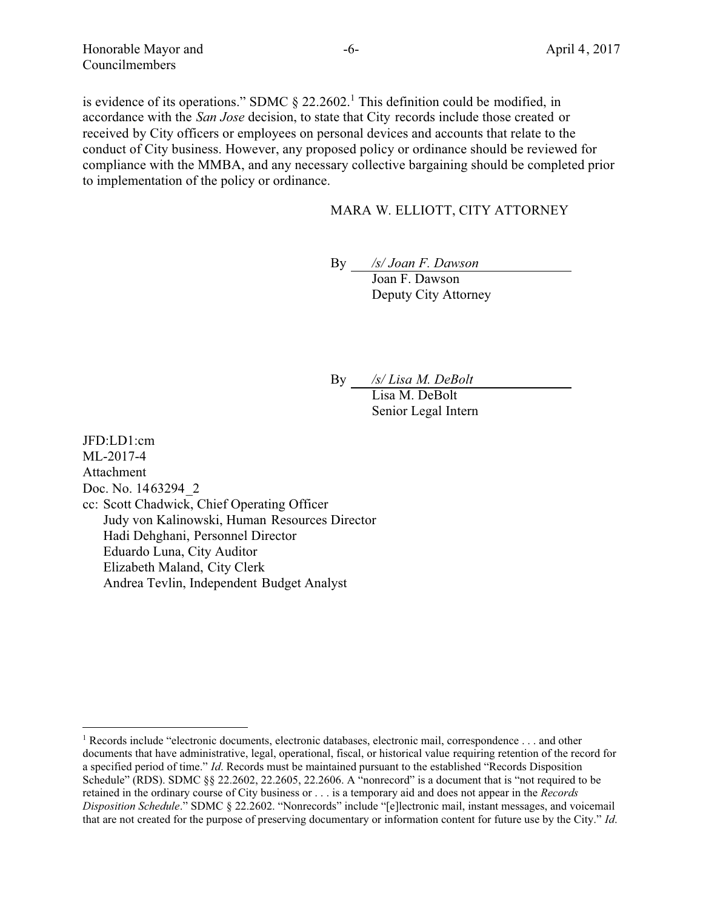is evidence of its operations." SDMC  $\S 22.2602$ . This definition could be modified, in accordance with the *San Jose* decision, to state that City records include those created or received by City officers or employees on personal devices and accounts that relate to the conduct of City business. However, any proposed policy or ordinance should be reviewed for compliance with the MMBA, and any necessary collective bargaining should be completed prior to implementation of the policy or ordinance.

## MARA W. ELLIOTT, CITY ATTORNEY

By */s/ Joan F. Dawson*

Joan F. Dawson Deputy City Attorney

By */s/ Lisa M. DeBolt*

Lisa M. DeBolt Senior Legal Intern

JFD:LD1:cm ML-2017-4 Attachment Doc. No. 1463294\_2 cc: Scott Chadwick, Chief Operating Officer Judy von Kalinowski, Human Resources Director Hadi Dehghani, Personnel Director Eduardo Luna, City Auditor Elizabeth Maland, City Clerk Andrea Tevlin, Independent Budget Analyst

<sup>1</sup> Records include "electronic documents, electronic databases, electronic mail, correspondence . . . and other documents that have administrative, legal, operational, fiscal, or historical value requiring retention of the record for a specified period of time." *Id*. Records must be maintained pursuant to the established "Records Disposition Schedule" (RDS). SDMC §§ 22.2602, 22.2605, 22.2606. A "nonrecord" is a document that is "not required to be retained in the ordinary course of City business or . . . is a temporary aid and does not appear in the *Records Disposition Schedule*." SDMC § 22.2602. "Nonrecords" include "[e]lectronic mail, instant messages, and voicemail that are not created for the purpose of preserving documentary or information content for future use by the City." *Id*.